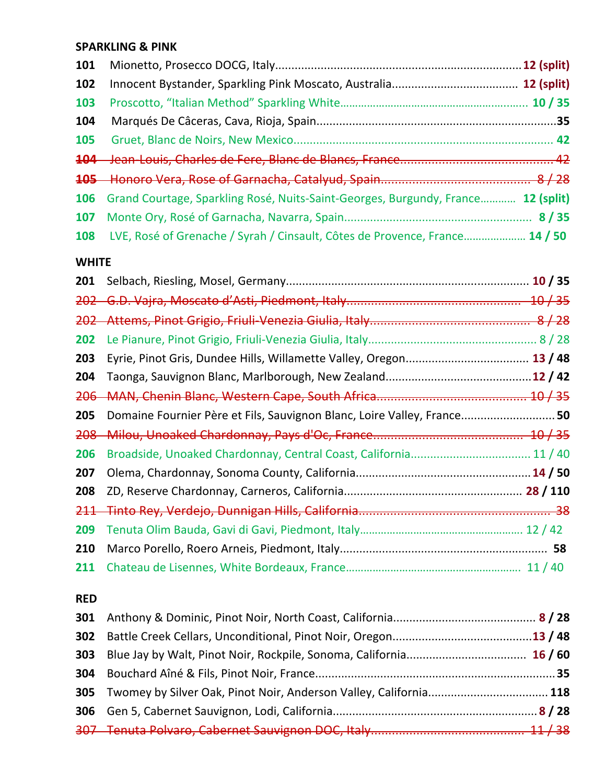## **SPARKLING & PINK**

| 102 |                                                                                      |  |
|-----|--------------------------------------------------------------------------------------|--|
| 103 |                                                                                      |  |
| 104 |                                                                                      |  |
|     |                                                                                      |  |
|     |                                                                                      |  |
|     |                                                                                      |  |
|     | 106 Grand Courtage, Sparkling Rosé, Nuits-Saint-Georges, Burgundy, France 12 (split) |  |
|     |                                                                                      |  |
|     | 108 LVE, Rosé of Grenache / Syrah / Cinsault, Côtes de Provence, France 14 / 50      |  |

## **WHITE**

| 201 |                                                                        |      |
|-----|------------------------------------------------------------------------|------|
|     |                                                                        |      |
|     |                                                                        | 8/28 |
| 202 |                                                                        |      |
| 203 |                                                                        |      |
| 204 |                                                                        |      |
|     |                                                                        |      |
| 205 | Domaine Fournier Père et Fils, Sauvignon Blanc, Loire Valley, France50 |      |
|     |                                                                        |      |
| 206 | Broadside, Unoaked Chardonnay, Central Coast, California 11 / 40       |      |
| 207 |                                                                        |      |
| 208 |                                                                        |      |
| 211 |                                                                        |      |
| 209 |                                                                        |      |
| 210 |                                                                        |      |
| 211 |                                                                        |      |

## **RED**

| 305 Twomey by Silver Oak, Pinot Noir, Anderson Valley, California 118 |  |
|-----------------------------------------------------------------------|--|
|                                                                       |  |
|                                                                       |  |